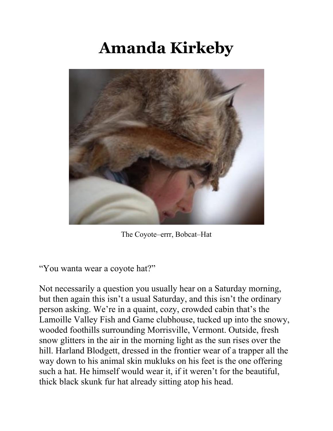## **Amanda Kirkeby**



The Coyote–errr, Bobcat–Hat

"You wanta wear a coyote hat?"

Not necessarily a question you usually hear on a Saturday morning, but then again this isn't a usual Saturday, and this isn't the ordinary person asking. We're in a quaint, cozy, crowded cabin that's the Lamoille Valley Fish and Game clubhouse, tucked up into the snowy, wooded foothills surrounding Morrisville, Vermont. Outside, fresh snow glitters in the air in the morning light as the sun rises over the hill. Harland Blodgett, dressed in the frontier wear of a trapper all the way down to his animal skin mukluks on his feet is the one offering such a hat. He himself would wear it, if it weren't for the beautiful, thick black skunk fur hat already sitting atop his head.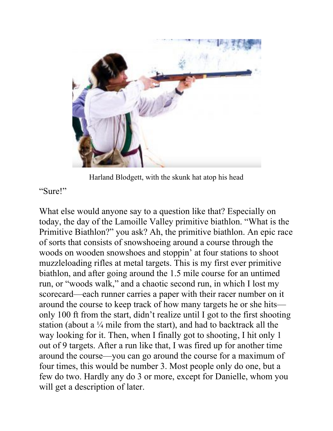

Harland Blodgett, with the skunk hat atop his head

"Sure!"

What else would anyone say to a question like that? Especially on today, the day of the Lamoille Valley primitive biathlon. "What is the Primitive Biathlon?" you ask? Ah, the primitive biathlon. An epic race of sorts that consists of snowshoeing around a course through the woods on wooden snowshoes and stoppin' at four stations to shoot muzzleloading rifles at metal targets. This is my first ever primitive biathlon, and after going around the 1.5 mile course for an untimed run, or "woods walk," and a chaotic second run, in which I lost my scorecard—each runner carries a paper with their racer number on it around the course to keep track of how many targets he or she hits only 100 ft from the start, didn't realize until I got to the first shooting station (about a  $\frac{1}{4}$  mile from the start), and had to backtrack all the way looking for it. Then, when I finally got to shooting, I hit only 1 out of 9 targets. After a run like that, I was fired up for another time around the course—you can go around the course for a maximum of four times, this would be number 3. Most people only do one, but a few do two. Hardly any do 3 or more, except for Danielle, whom you will get a description of later.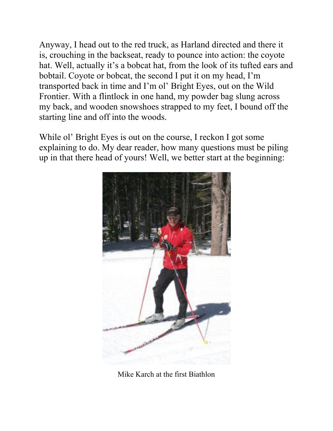Anyway, I head out to the red truck, as Harland directed and there it is, crouching in the backseat, ready to pounce into action: the coyote hat. Well, actually it's a bobcat hat, from the look of its tufted ears and bobtail. Coyote or bobcat, the second I put it on my head, I'm transported back in time and I'm ol' Bright Eyes, out on the Wild Frontier. With a flintlock in one hand, my powder bag slung across my back, and wooden snowshoes strapped to my feet, I bound off the starting line and off into the woods.

While ol' Bright Eyes is out on the course, I reckon I got some explaining to do. My dear reader, how many questions must be piling up in that there head of yours! Well, we better start at the beginning:



Mike Karch at the first Biathlon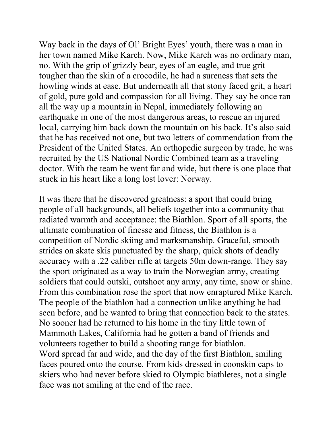Way back in the days of Ol' Bright Eyes' youth, there was a man in her town named Mike Karch. Now, Mike Karch was no ordinary man, no. With the grip of grizzly bear, eyes of an eagle, and true grit tougher than the skin of a crocodile, he had a sureness that sets the howling winds at ease. But underneath all that stony faced grit, a heart of gold, pure gold and compassion for all living. They say he once ran all the way up a mountain in Nepal, immediately following an earthquake in one of the most dangerous areas, to rescue an injured local, carrying him back down the mountain on his back. It's also said that he has received not one, but two letters of commendation from the President of the United States. An orthopedic surgeon by trade, he was recruited by the US National Nordic Combined team as a traveling doctor. With the team he went far and wide, but there is one place that stuck in his heart like a long lost lover: Norway.

It was there that he discovered greatness: a sport that could bring people of all backgrounds, all beliefs together into a community that radiated warmth and acceptance: the Biathlon. Sport of all sports, the ultimate combination of finesse and fitness, the Biathlon is a competition of Nordic skiing and marksmanship. Graceful, smooth strides on skate skis punctuated by the sharp, quick shots of deadly accuracy with a .22 caliber rifle at targets 50m down-range. They say the sport originated as a way to train the Norwegian army, creating soldiers that could outski, outshoot any army, any time, snow or shine. From this combination rose the sport that now enraptured Mike Karch. The people of the biathlon had a connection unlike anything he had seen before, and he wanted to bring that connection back to the states. No sooner had he returned to his home in the tiny little town of Mammoth Lakes, California had he gotten a band of friends and volunteers together to build a shooting range for biathlon. Word spread far and wide, and the day of the first Biathlon, smiling faces poured onto the course. From kids dressed in coonskin caps to skiers who had never before skied to Olympic biathletes, not a single face was not smiling at the end of the race.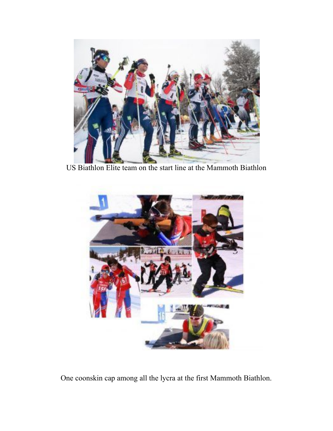

US Biathlon Elite team on the start line at the Mammoth Biathlon



One coonskin cap among all the lycra at the first Mammoth Biathlon.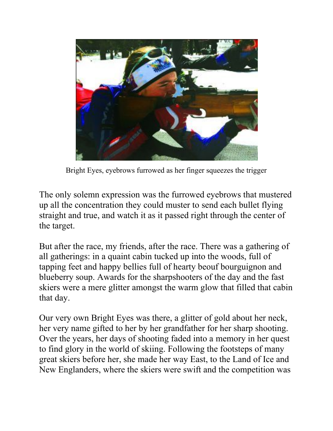

Bright Eyes, eyebrows furrowed as her finger squeezes the trigger

The only solemn expression was the furrowed eyebrows that mustered up all the concentration they could muster to send each bullet flying straight and true, and watch it as it passed right through the center of the target.

But after the race, my friends, after the race. There was a gathering of all gatherings: in a quaint cabin tucked up into the woods, full of tapping feet and happy bellies full of hearty beouf bourguignon and blueberry soup. Awards for the sharpshooters of the day and the fast skiers were a mere glitter amongst the warm glow that filled that cabin that day.

Our very own Bright Eyes was there, a glitter of gold about her neck, her very name gifted to her by her grandfather for her sharp shooting. Over the years, her days of shooting faded into a memory in her quest to find glory in the world of skiing. Following the footsteps of many great skiers before her, she made her way East, to the Land of Ice and New Englanders, where the skiers were swift and the competition was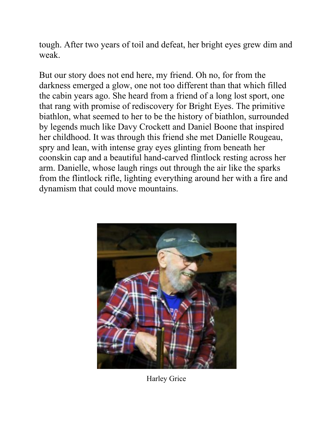tough. After two years of toil and defeat, her bright eyes grew dim and weak.

But our story does not end here, my friend. Oh no, for from the darkness emerged a glow, one not too different than that which filled the cabin years ago. She heard from a friend of a long lost sport, one that rang with promise of rediscovery for Bright Eyes. The primitive biathlon, what seemed to her to be the history of biathlon, surrounded by legends much like Davy Crockett and Daniel Boone that inspired her childhood. It was through this friend she met Danielle Rougeau, spry and lean, with intense gray eyes glinting from beneath her coonskin cap and a beautiful hand-carved flintlock resting across her arm. Danielle, whose laugh rings out through the air like the sparks from the flintlock rifle, lighting everything around her with a fire and dynamism that could move mountains.



Harley Grice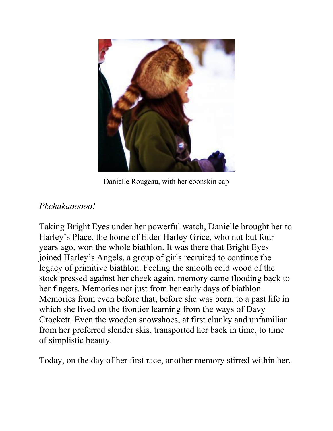

Danielle Rougeau, with her coonskin cap

## *Pkchakaooooo!*

Taking Bright Eyes under her powerful watch, Danielle brought her to Harley's Place, the home of Elder Harley Grice, who not but four years ago, won the whole biathlon. It was there that Bright Eyes joined Harley's Angels, a group of girls recruited to continue the legacy of primitive biathlon. Feeling the smooth cold wood of the stock pressed against her cheek again, memory came flooding back to her fingers. Memories not just from her early days of biathlon. Memories from even before that, before she was born, to a past life in which she lived on the frontier learning from the ways of Davy Crockett. Even the wooden snowshoes, at first clunky and unfamiliar from her preferred slender skis, transported her back in time, to time of simplistic beauty.

Today, on the day of her first race, another memory stirred within her.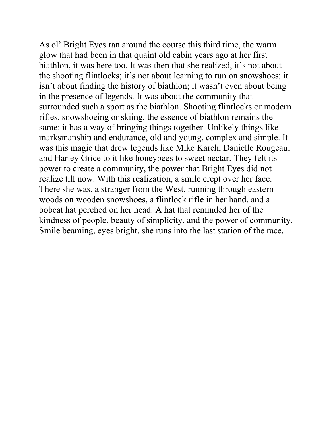As ol' Bright Eyes ran around the course this third time, the warm glow that had been in that quaint old cabin years ago at her first biathlon, it was here too. It was then that she realized, it's not about the shooting flintlocks; it's not about learning to run on snowshoes; it isn't about finding the history of biathlon; it wasn't even about being in the presence of legends. It was about the community that surrounded such a sport as the biathlon. Shooting flintlocks or modern rifles, snowshoeing or skiing, the essence of biathlon remains the same: it has a way of bringing things together. Unlikely things like marksmanship and endurance, old and young, complex and simple. It was this magic that drew legends like Mike Karch, Danielle Rougeau, and Harley Grice to it like honeybees to sweet nectar. They felt its power to create a community, the power that Bright Eyes did not realize till now. With this realization, a smile crept over her face. There she was, a stranger from the West, running through eastern woods on wooden snowshoes, a flintlock rifle in her hand, and a bobcat hat perched on her head. A hat that reminded her of the kindness of people, beauty of simplicity, and the power of community. Smile beaming, eyes bright, she runs into the last station of the race.